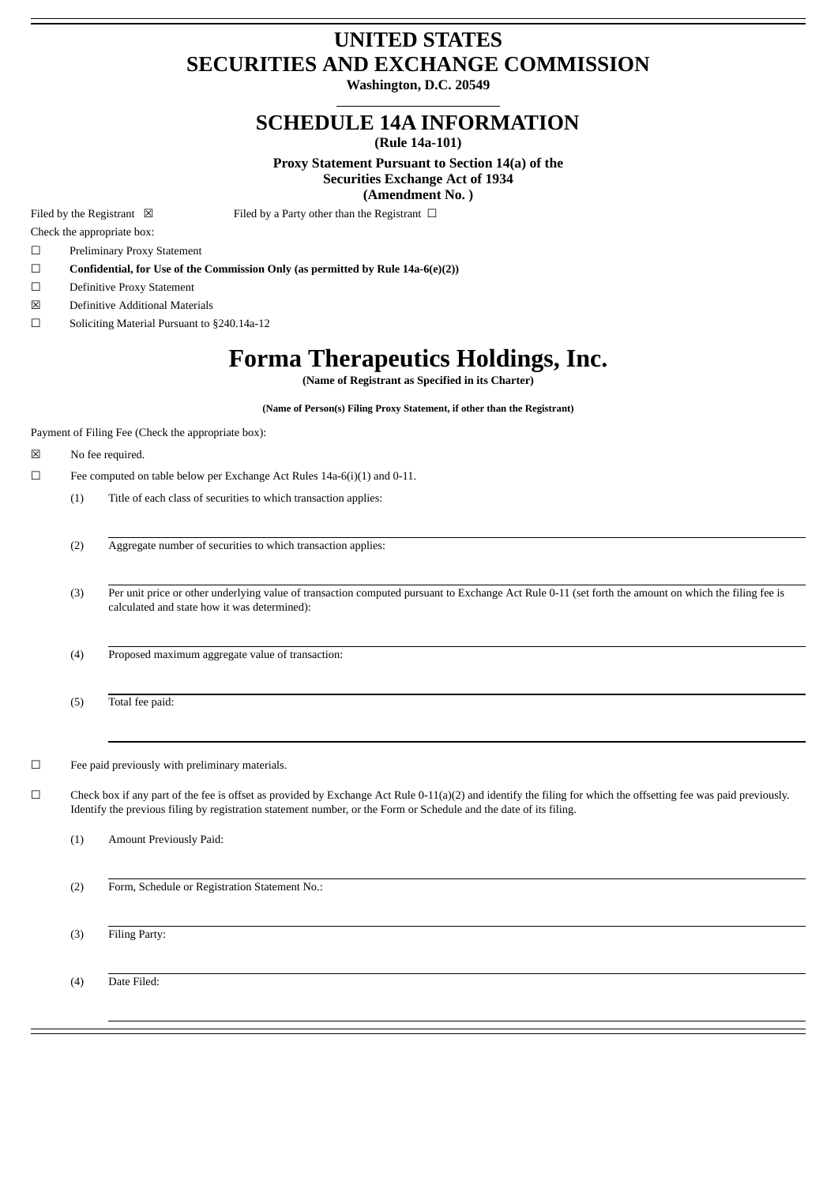## **UNITED STATES SECURITIES AND EXCHANGE COMMISSION**

**Washington, D.C. 20549**

### **SCHEDULE 14A INFORMATION**

**(Rule 14a-101)**

**Proxy Statement Pursuant to Section 14(a) of the Securities Exchange Act of 1934 (Amendment No. )**

Filed by the Registrant  $\boxtimes$  Filed by a Party other than the Registrant  $\Box$ 

Check the appropriate box:

- ☐ Preliminary Proxy Statement
- ☐ **Confidential, for Use of the Commission Only (as permitted by Rule 14a-6(e)(2))**
- ☐ Definitive Proxy Statement
- ☒ Definitive Additional Materials
- ☐ Soliciting Material Pursuant to §240.14a-12

# **Forma Therapeutics Holdings, Inc.**

**(Name of Registrant as Specified in its Charter)**

**(Name of Person(s) Filing Proxy Statement, if other than the Registrant)**

Payment of Filing Fee (Check the appropriate box):

☒ No fee required.

- $\Box$  Fee computed on table below per Exchange Act Rules 14a-6(i)(1) and 0-11.
	- (1) Title of each class of securities to which transaction applies:
	- (2) Aggregate number of securities to which transaction applies:

(3) Per unit price or other underlying value of transaction computed pursuant to Exchange Act Rule 0-11 (set forth the amount on which the filing fee is calculated and state how it was determined):

(4) Proposed maximum aggregate value of transaction:

(5) Total fee paid:

☐ Fee paid previously with preliminary materials.

 $\Box$  Check box if any part of the fee is offset as provided by Exchange Act Rule 0-11(a)(2) and identify the filing for which the offsetting fee was paid previously. Identify the previous filing by registration statement number, or the Form or Schedule and the date of its filing.

(1) Amount Previously Paid:

(2) Form, Schedule or Registration Statement No.:

(3) Filing Party:

(4) Date Filed: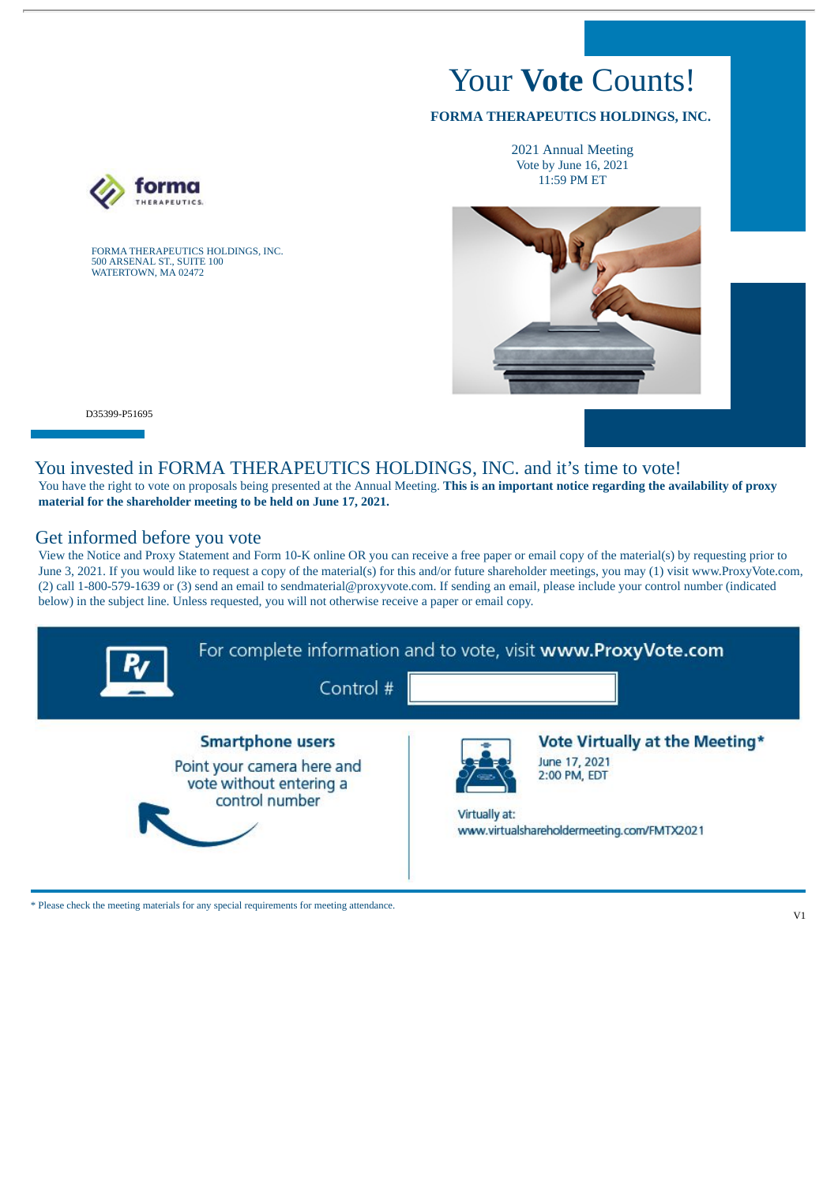# Your **Vote** Counts!

#### **FORMA THERAPEUTICS HOLDINGS, INC.**

2021 Annual Meeting Vote by June 16, 2021 11:59 PM ET



D35399-P51695

#### You invested in FORMA THERAPEUTICS HOLDINGS, INC. and it's time to vote!

You have the right to vote on proposals being presented at the Annual Meeting. **This is an important notice regarding the availability of proxy material for the shareholder meeting to be held on June 17, 2021.**

#### Get informed before you vote

FORMA THERAPEUTICS HOLDINGS, INC.

500 ARSENAL ST., SUITE 100 WATERTOWN, MA 02472

View the Notice and Proxy Statement and Form 10-K online OR you can receive a free paper or email copy of the material(s) by requesting prior to June 3, 2021. If you would like to request a copy of the material(s) for this and/or future shareholder meetings, you may (1) visit www.ProxyVote.com, (2) call 1-800-579-1639 or (3) send an email to sendmaterial@proxyvote.com. If sending an email, please include your control number (indicated below) in the subject line. Unless requested, you will not otherwise receive a paper or email copy.



\* Please check the meeting materials for any special requirements for meeting attendance.